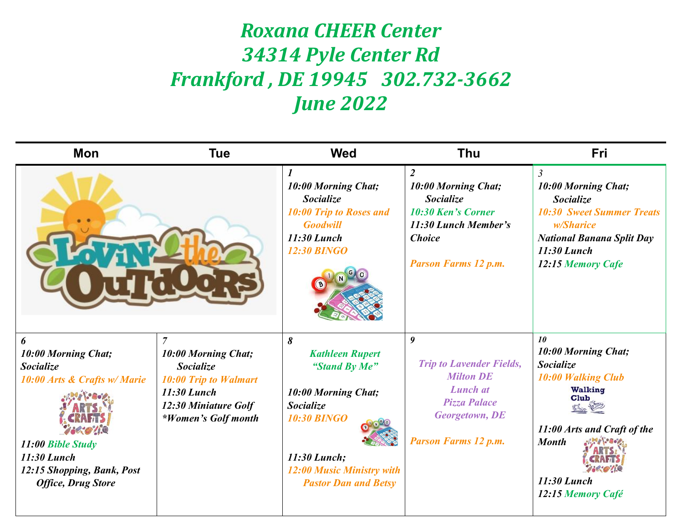## *Roxana CHEER Center 34314 Pyle Center Rd Frankford , DE 19945 302.732-3662 June 2022*

| Mon                                                                                                                                                                         | <b>Tue</b>                                                                                                                                              | <b>Wed</b>                                                                                                                                                                                | <b>Thu</b>                                                                                                                                                         | <b>Fri</b>                                                                                                                                                                                  |
|-----------------------------------------------------------------------------------------------------------------------------------------------------------------------------|---------------------------------------------------------------------------------------------------------------------------------------------------------|-------------------------------------------------------------------------------------------------------------------------------------------------------------------------------------------|--------------------------------------------------------------------------------------------------------------------------------------------------------------------|---------------------------------------------------------------------------------------------------------------------------------------------------------------------------------------------|
|                                                                                                                                                                             |                                                                                                                                                         | 1<br>10:00 Morning Chat;<br><b>Socialize</b><br><b>10:00 Trip to Roses and</b><br><b>Goodwill</b><br>11:30 Lunch<br><b>12:30 BINGO</b>                                                    | $\overline{2}$<br>10:00 Morning Chat;<br><b>Socialize</b><br><b>10:30 Ken's Corner</b><br>11:30 Lunch Member's<br><b>Choice</b><br><b>Parson Farms 12 p.m.</b>     | $\mathfrak{Z}$<br>10:00 Morning Chat;<br><b>Socialize</b><br><b>10:30 Sweet Summer Treats</b><br><i>w/Sharice</i><br><b>National Banana Split Day</b><br>$11:30$ Lunch<br>12:15 Memory Cafe |
| 6<br>10:00 Morning Chat;<br><b>Socialize</b><br>10:00 Arts & Crafts w/ Marie<br>11:00 Bible Study<br>11:30 Lunch<br>12:15 Shopping, Bank, Post<br><b>Office, Drug Store</b> | $\overline{7}$<br>10:00 Morning Chat;<br><b>Socialize</b><br><b>10:00 Trip to Walmart</b><br>11:30 Lunch<br>12:30 Miniature Golf<br>*Women's Golf month | 8<br><b>Kathleen Rupert</b><br>"Stand By Me"<br>10:00 Morning Chat;<br><b>Socialize</b><br><b>10:30 BINGO</b><br>11:30 Lunch;<br>12:00 Music Ministry with<br><b>Pastor Dan and Betsy</b> | $\boldsymbol{g}$<br><b>Trip to Lavender Fields,</b><br><b>Milton DE</b><br><b>Lunch</b> at<br><b>Pizza Palace</b><br>Georgetown, DE<br><b>Parson Farms 12 p.m.</b> | 10<br>10:00 Morning Chat;<br><b>Socialize</b><br><b>10:00 Walking Club</b><br><b>Walking</b><br>Club<br>11:00 Arts and Craft of the<br><b>Month</b><br>11:30 Lunch<br>12:15 Memory Café     |